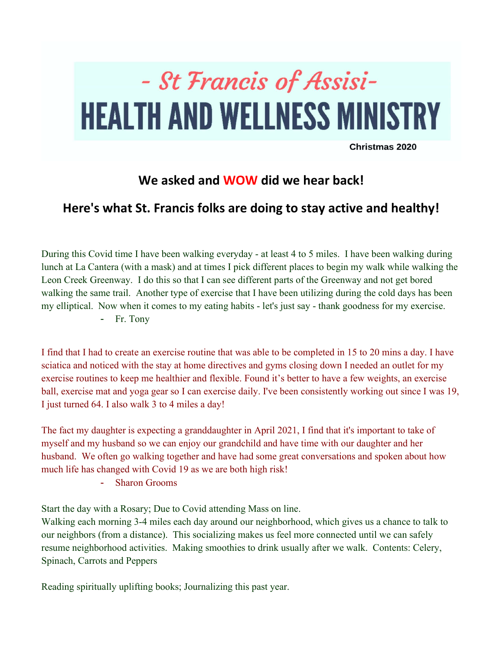## - St Francis of Assisi-**HEALTH AND WELLNESS MINISTRY**

Christmas 2020

## We asked and **WOW** did we hear back!

## Here's what St. Francis folks are doing to stay active and healthy!

During this Covid time I have been walking everyday - at least 4 to 5 miles. I have been walking during lunch at La Cantera (with a mask) and at times I pick different places to begin my walk while walking the Leon Creek Greenway. I do this so that I can see different parts of the Greenway and not get bored walking the same trail. Another type of exercise that I have been utilizing during the cold days has been my elliptical. Now when it comes to my eating habits - let's just say - thank goodness for my exercise.

- Fr. Tony

I find that I had to create an exercise routine that was able to be completed in 15 to 20 mins a day. I have sciatica and noticed with the stay at home directives and gyms closing down I needed an outlet for my exercise routines to keep me healthier and flexible. Found it's better to have a few weights, an exercise ball, exercise mat and yoga gear so I can exercise daily. I've been consistently working out since I was 19, I just turned 64. I also walk 3 to 4 miles a day!

The fact my daughter is expecting a granddaughter in April 2021, I find that it's important to take of myself and my husband so we can enjoy our grandchild and have time with our daughter and her husband. We often go walking together and have had some great conversations and spoken about how much life has changed with Covid 19 as we are both high risk!

- Sharon Grooms

Start the day with a Rosary; Due to Covid attending Mass on line.

Walking each morning 3-4 miles each day around our neighborhood, which gives us a chance to talk to our neighbors (from a distance). This socializing makes us feel more connected until we can safely resume neighborhood activities. Making smoothies to drink usually after we walk. Contents: Celery, Spinach, Carrots and Peppers

Reading spiritually uplifting books; Journalizing this past year.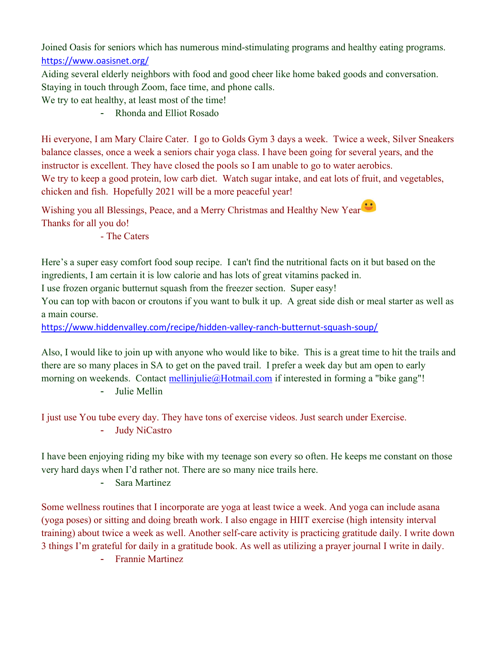Joined Oasis for seniors which has numerous mind-stimulating programs and healthy eating programs. https://www.oasisnet.org/

Aiding several elderly neighbors with food and good cheer like home baked goods and conversation. Staying in touch through Zoom, face time, and phone calls.

We try to eat healthy, at least most of the time!

- Rhonda and Elliot Rosado

Hi everyone, I am Mary Claire Cater. I go to Golds Gym 3 days a week. Twice a week, Silver Sneakers balance classes, once a week a seniors chair yoga class. I have been going for several years, and the instructor is excellent. They have closed the pools so I am unable to go to water aerobics. We try to keep a good protein, low carb diet. Watch sugar intake, and eat lots of fruit, and vegetables, chicken and fish. Hopefully 2021 will be a more peaceful year!

Wishing you all Blessings, Peace, and a Merry Christmas and Healthy New Year<sup>:</sup> Thanks for all you do!

- The Caters

Here's a super easy comfort food soup recipe. I can't find the nutritional facts on it but based on the ingredients, I am certain it is low calorie and has lots of great vitamins packed in.

I use frozen organic butternut squash from the freezer section. Super easy!

You can top with bacon or croutons if you want to bulk it up. A great side dish or meal starter as well as a main course.

https://www.hiddenvalley.com/recipe/hidden-valley-ranch-butternut-squash-soup/

Also, I would like to join up with anyone who would like to bike. This is a great time to hit the trails and there are so many places in SA to get on the paved trail. I prefer a week day but am open to early morning on weekends. Contact mellinjulie@Hotmail.com if interested in forming a "bike gang"! - Julie Mellin

I just use You tube every day. They have tons of exercise videos. Just search under Exercise.

- Judy NiCastro

I have been enjoying riding my bike with my teenage son every so often. He keeps me constant on those very hard days when I'd rather not. There are so many nice trails here.

- Sara Martinez

Some wellness routines that I incorporate are yoga at least twice a week. And yoga can include asana (yoga poses) or sitting and doing breath work. I also engage in HIIT exercise (high intensity interval training) about twice a week as well. Another self-care activity is practicing gratitude daily. I write down 3 things I'm grateful for daily in a gratitude book. As well as utilizing a prayer journal I write in daily.

- Frannie Martinez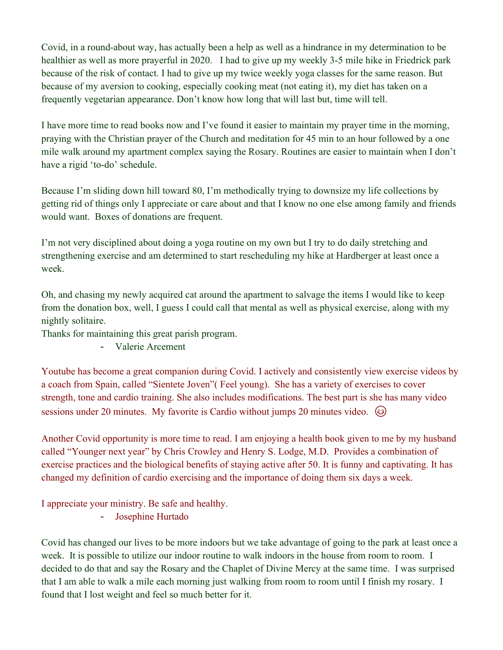Covid, in a round-about way, has actually been a help as well as a hindrance in my determination to be healthier as well as more prayerful in 2020. I had to give up my weekly 3-5 mile hike in Friedrick park because of the risk of contact. I had to give up my twice weekly yoga classes for the same reason. But because of my aversion to cooking, especially cooking meat (not eating it), my diet has taken on a frequently vegetarian appearance. Don't know how long that will last but, time will tell.

I have more time to read books now and I've found it easier to maintain my prayer time in the morning, praying with the Christian prayer of the Church and meditation for 45 min to an hour followed by a one mile walk around my apartment complex saying the Rosary. Routines are easier to maintain when I don't have a rigid 'to-do' schedule.

Because I'm sliding down hill toward 80, I'm methodically trying to downsize my life collections by getting rid of things only I appreciate or care about and that I know no one else among family and friends would want. Boxes of donations are frequent.

I'm not very disciplined about doing a yoga routine on my own but I try to do daily stretching and strengthening exercise and am determined to start rescheduling my hike at Hardberger at least once a week.

Oh, and chasing my newly acquired cat around the apartment to salvage the items I would like to keep from the donation box, well, I guess I could call that mental as well as physical exercise, along with my nightly solitaire.

Thanks for maintaining this great parish program.

- Valerie Arcement

Youtube has become a great companion during Covid. I actively and consistently view exercise videos by a coach from Spain, called "Sientete Joven"( Feel young). She has a variety of exercises to cover strength, tone and cardio training. She also includes modifications. The best part is she has many video sessions under 20 minutes. My favorite is Cardio without jumps 20 minutes video.  $\circled{e}$ 

Another Covid opportunity is more time to read. I am enjoying a health book given to me by my husband called "Younger next year" by Chris Crowley and Henry S. Lodge, M.D. Provides a combination of exercise practices and the biological benefits of staying active after 50. It is funny and captivating. It has changed my definition of cardio exercising and the importance of doing them six days a week.

I appreciate your ministry. Be safe and healthy.

- Josephine Hurtado

Covid has changed our lives to be more indoors but we take advantage of going to the park at least once a week. It is possible to utilize our indoor routine to walk indoors in the house from room to room. I decided to do that and say the Rosary and the Chaplet of Divine Mercy at the same time. I was surprised that I am able to walk a mile each morning just walking from room to room until I finish my rosary. I found that I lost weight and feel so much better for it.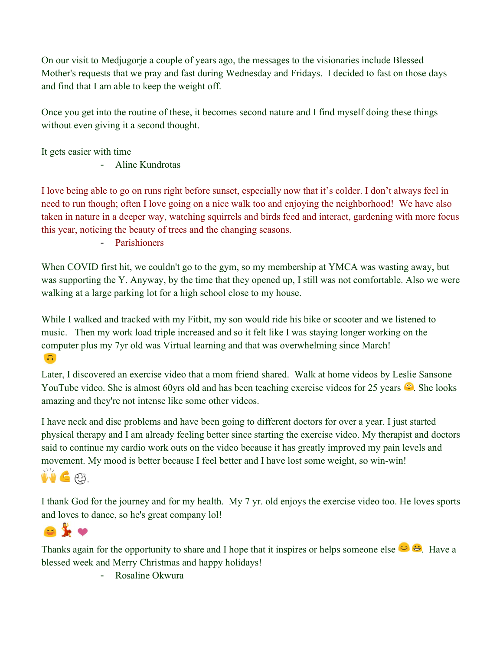On our visit to Medjugorje a couple of years ago, the messages to the visionaries include Blessed Mother's requests that we pray and fast during Wednesday and Fridays. I decided to fast on those days and find that I am able to keep the weight off.

Once you get into the routine of these, it becomes second nature and I find myself doing these things without even giving it a second thought.

It gets easier with time

- Aline Kundrotas

I love being able to go on runs right before sunset, especially now that it's colder. I don't always feel in need to run though; often I love going on a nice walk too and enjoying the neighborhood! We have also taken in nature in a deeper way, watching squirrels and birds feed and interact, gardening with more focus this year, noticing the beauty of trees and the changing seasons.

- Parishioners

When COVID first hit, we couldn't go to the gym, so my membership at YMCA was wasting away, but was supporting the Y. Anyway, by the time that they opened up, I still was not comfortable. Also we were walking at a large parking lot for a high school close to my house.

While I walked and tracked with my Fitbit, my son would ride his bike or scooter and we listened to music. Then my work load triple increased and so it felt like I was staying longer working on the computer plus my 7yr old was Virtual learning and that was overwhelming since March!  $\Omega$ 

Later, I discovered an exercise video that a mom friend shared. Walk at home videos by Leslie Sansone YouTube video. She is almost 60yrs old and has been teaching exercise videos for 25 years  $\mathbb{C}$ . She looks amazing and they're not intense like some other videos.

I have neck and disc problems and have been going to different doctors for over a year. I just started physical therapy and I am already feeling better since starting the exercise video. My therapist and doctors said to continue my cardio work outs on the video because it has greatly improved my pain levels and movement. My mood is better because I feel better and I have lost some weight, so win-win!

## W 6 83.

I thank God for the journey and for my health. My 7 yr. old enjoys the exercise video too. He loves sports and loves to dance, so he's great company lol!



Thanks again for the opportunity to share and I hope that it inspires or helps someone else  $\circled{ } \bullet$ . Have a blessed week and Merry Christmas and happy holidays!

- Rosaline Okwura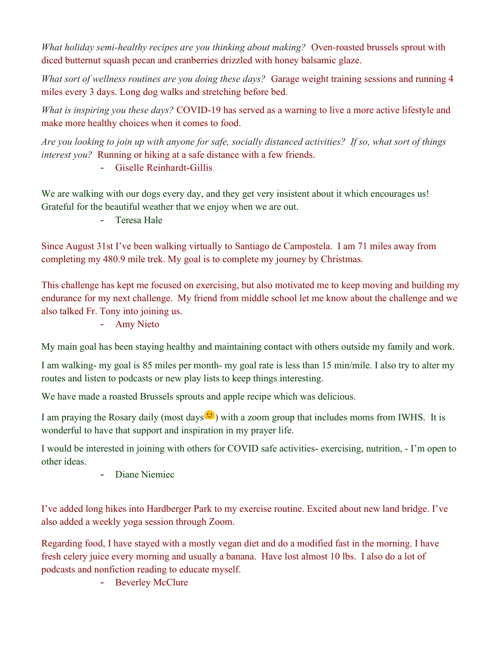What holiday semi-healthy recipes are you thinking about making? Oven-roasted brussels sprout with diced butternut squash pecan and cranberries drizzled with honey balsamic glaze.

What sort of wellness routines are you doing these days? Garage weight training sessions and running 4 miles every 3 days. Long dog walks and stretching before bed.

What is inspiring you these days? COVID-19 has served as a warning to live a more active lifestyle and make more healthy choices when it comes to food.

Are you looking to join up with anyone for safe, socially distanced activities? If so, what sort of things interest you? Running or hiking at a safe distance with a few friends.

- Giselle Reinhardt-Gillis

We are walking with our dogs every day, and they get very insistent about it which encourages us! Grateful for the beautiful weather that we enjoy when we are out.

- Teresa Hale

Since August 31st I've been walking virtually to Santiago de Campostela. I am 71 miles away from completing my 480.9 mile trek. My goal is to complete my journey by Christmas.

This challenge has kept me focused on exercising, but also motivated me to keep moving and building my endurance for my next challenge. My friend from middle school let me know about the challenge and we also talked Fr. Tony into joining us.

- Amy Nieto

My main goal has been staying healthy and maintaining contact with others outside my family and work.

I am walking- my goal is 85 miles per month- my goal rate is less than 15 min/mile. I also try to alter my routes and listen to podcasts or new play lists to keep things interesting.

We have made a roasted Brussels sprouts and apple recipe which was delicious.

I am praying the Rosary daily (most days  $\mathcal{C}$ ) with a zoom group that includes moms from IWHS. It is wonderful to have that support and inspiration in my prayer life.

I would be interested in joining with others for COVID safe activities- exercising, nutrition, - I'm open to other ideas.

- Diane Niemiec

I've added long hikes into Hardberger Park to my exercise routine. Excited about new land bridge. I've also added a weekly yoga session through Zoom.

Regarding food, I have stayed with a mostly vegan diet and do a modified fast in the morning. I have fresh celery juice every morning and usually a banana. Have lost almost 10 lbs. I also do a lot of podcasts and nonfiction reading to educate myself.

- Beverley McClure